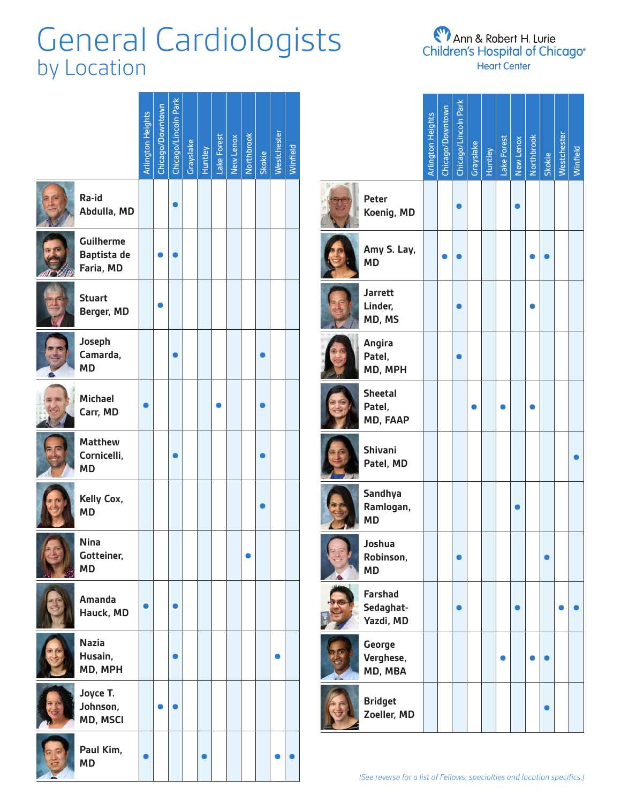# General Cardiologists by Location

**CHANG** 

**Tells** 

**E<sup>W</sup>** Ann & Robert H. Lurie<br>Children's Hospital of Chicago® **Heart Center** 

|                                                     | Arlington Heights | Chicago/Downtown | Chicago/Lincoln Park | Grayslake | Huntley | Lake Forest | New Lenox | Northbrook | Skokie | Westchester | Winfield |
|-----------------------------------------------------|-------------------|------------------|----------------------|-----------|---------|-------------|-----------|------------|--------|-------------|----------|
| Ra-id<br>Abdulla, MD                                |                   |                  |                      |           |         |             |           |            |        |             |          |
| <b>Guilherme</b><br><b>Baptista de</b><br>Faria, MD |                   |                  |                      |           |         |             |           |            |        |             |          |
| <b>Stuart</b><br>Berger, MD                         |                   |                  |                      |           |         |             |           |            |        |             |          |
| Joseph<br>Camarda,<br><b>MD</b>                     |                   |                  |                      |           |         |             |           |            |        |             |          |
| <b>Michael</b><br>Carr, MD                          |                   |                  |                      |           |         |             |           |            |        |             |          |
| <b>Matthew</b><br>Cornicelli,<br><b>MD</b>          |                   |                  |                      |           |         |             |           |            |        |             |          |
| Kelly Cox,<br><b>MD</b>                             |                   |                  |                      |           |         |             |           |            |        |             |          |
| <b>Nina</b><br>Gotteiner,<br><b>MD</b>              |                   |                  |                      |           |         |             |           |            |        |             |          |
| <b>Amanda</b><br>Hauck, MD                          |                   |                  |                      |           |         |             |           |            |        |             |          |
| <b>Nazia</b><br>Husain,<br>MD, MPH                  |                   |                  |                      |           |         |             |           |            |        |             |          |
| Joyce T.<br>Johnson,<br>MD, MSCI                    |                   |                  |                      |           |         |             |           |            |        |             |          |
| Paul Kim,<br><b>MD</b>                              |                   |                  |                      |           |         |             |           |            |        |             |          |

|                                                                          | <b>Arlington Heights</b> | Chicago/Downtown | Chicago/Lincoln Park | Grayslake | Huntley | Lake Forest | New Lenox | <b>Northbrook</b> | Skokie | Westchester | Winfield |
|--------------------------------------------------------------------------|--------------------------|------------------|----------------------|-----------|---------|-------------|-----------|-------------------|--------|-------------|----------|
| Peter<br>Koenig, MD                                                      |                          |                  |                      |           |         |             |           |                   |        |             |          |
| Amy S. Lay,<br><b>MD</b>                                                 |                          |                  |                      |           |         |             |           |                   |        |             |          |
| <b>Jarrett</b><br>Linder,<br>MD, MS                                      |                          |                  |                      |           |         |             |           |                   |        |             |          |
| Angira<br>Patel,<br>MD, MPH                                              |                          |                  |                      |           |         |             |           |                   |        |             |          |
| <b>Sheetal</b><br>Patel,<br>MD, FAAP                                     |                          |                  |                      |           |         |             |           |                   |        |             |          |
| <b>Shivani</b><br>Patel, MD                                              |                          |                  |                      |           |         |             |           |                   |        |             |          |
| Sandhya<br>Ramlogan,<br><b>MD</b>                                        |                          |                  |                      |           |         |             |           |                   |        |             |          |
| Joshua<br>Robinson,<br><b>MD</b>                                         |                          |                  |                      |           |         |             |           |                   |        |             |          |
| <b>Farshad</b><br>Sedaghat-<br>Yazdi, MD                                 |                          |                  |                      |           |         |             |           |                   |        |             |          |
| George<br>Verghese,<br>MD, MBA                                           |                          |                  |                      |           |         |             |           |                   |        |             |          |
| <b>Bridget</b><br>Zoeller, MD                                            |                          |                  |                      |           |         |             |           |                   |        |             |          |
| (See reverse for a list of Fellows, specialties and location specifics.) |                          |                  |                      |           |         |             |           |                   |        |             |          |